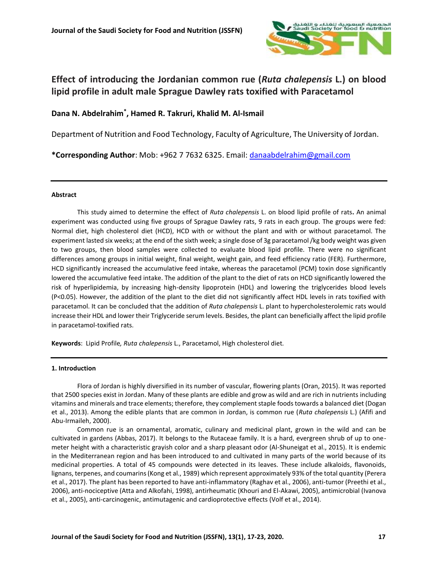

# **Effect of introducing the Jordanian common rue (***Ruta chalepensis* **L.) on blood lipid profile in adult male Sprague Dawley rats toxified with Paracetamol**

# **Dana N. Abdelrahim\* , Hamed R. Takruri, Khalid M. Al-Ismail**

Department of Nutrition and Food Technology, Faculty of Agriculture, The University of Jordan.

**\*Corresponding Author**: Mob: +962 7 7632 6325. Email: [danaabdelrahim@gmail.com](mailto:danaabdelrahim@gmail.com)

#### **Abstract**

This study aimed to determine the effect of *Ruta chalepensis* L. on blood lipid profile of rats**.** An animal experiment was conducted using five groups of Sprague Dawley rats, 9 rats in each group. The groups were fed: Normal diet, high cholesterol diet (HCD), HCD with or without the plant and with or without paracetamol. The experiment lasted six weeks; at the end of the sixth week; a single dose of 3g paracetamol /kg body weight was given to two groups, then blood samples were collected to evaluate blood lipid profile. There were no significant differences among groups in initial weight, final weight, weight gain, and feed efficiency ratio (FER). Furthermore, HCD significantly increased the accumulative feed intake, whereas the paracetamol (PCM) toxin dose significantly lowered the accumulative feed intake. The addition of the plant to the diet of rats on HCD significantly lowered the risk of hyperlipidemia, by increasing high-density lipoprotein (HDL) and lowering the triglycerides blood levels (P<0.05). However, the addition of the plant to the diet did not significantly affect HDL levels in rats toxified with paracetamol. It can be concluded that the addition of *Ruta chalepensis* L. plant to hypercholesterolemic rats would increase their HDL and lower their Triglyceride serum levels. Besides, the plant can beneficially affect the lipid profile in paracetamol-toxified rats.

**Keywords**: Lipid Profile*, Ruta chalepensis* L., Paracetamol, High cholesterol diet*.*

#### **1. Introduction**

Flora of Jordan is highly diversified in its number of vascular, flowering plants (Oran, 2015). It was reported that 2500 species exist in Jordan. Many of these plants are edible and grow as wild and are rich in nutrients including vitamins and minerals and trace elements; therefore, they complement staple foods towards a balanced diet (Dogan et al., 2013). Among the edible plants that are common in Jordan, is common rue (*Ruta chalepensis* L.) (Afifi and Abu-Irmaileh, 2000).

Common rue is an ornamental, aromatic, culinary and medicinal plant, grown in the wild and can be cultivated in gardens (Abbas, 2017). It belongs to the Rutaceae family. It is a hard, evergreen shrub of up to onemeter height with a characteristic grayish color and a sharp pleasant odor (Al-Shuneigat et al., 2015). It is endemic in the Mediterranean region and has been introduced to and cultivated in many parts of the world because of its medicinal properties. A total of 45 compounds were detected in its leaves. These include alkaloids, flavonoids, lignans, terpenes, and coumarins (Kong et al., 1989) which represent approximately 93% of the total quantity (Perera et al., 2017). The plant has been reported to have anti-inflammatory (Raghav et al., 2006), anti-tumor (Preethi et al., 2006), anti-nociceptive (Atta and Alkofahi, 1998), antirheumatic (Khouri and El-Akawi, 2005), antimicrobial (Ivanova et al., 2005), anti-carcinogenic, antimutagenic and cardioprotective effects (Volf et al., 2014).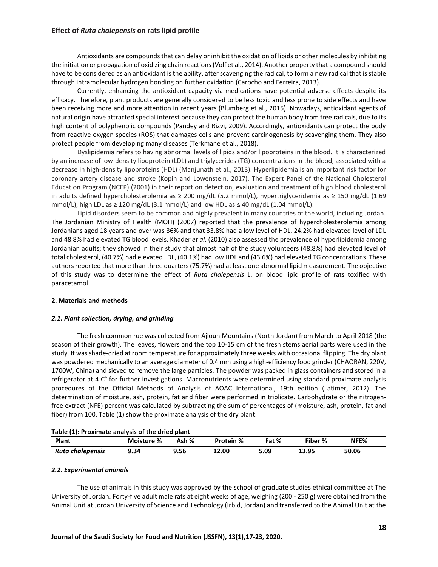Antioxidants are compounds that can delay or inhibit the oxidation of lipids or other molecules by inhibiting the initiation or propagation of oxidizing chain reactions (Volf et al., 2014). Another property that a compound should have to be considered as an antioxidant is the ability, after scavenging the radical, to form a new radical that is stable through intramolecular hydrogen bonding on further oxidation (Carocho and Ferreira, 2013).

Currently, enhancing the antioxidant capacity via medications have potential adverse effects despite its efficacy. Therefore, plant products are generally considered to be less toxic and less prone to side effects and have been receiving more and more attention in recent years (Blumberg et al., 2015). Nowadays, antioxidant agents of natural origin have attracted special interest because they can protect the human body from free radicals, due to its high content of polyphenolic compounds (Pandey and Rizvi, 2009). Accordingly, antioxidants can protect the body from reactive oxygen species (ROS) that damages cells and prevent carcinogenesis by scavenging them. They also protect people from developing many diseases (Terkmane et al., 2018).

Dyslipidemia refers to having abnormal levels of lipids and/or lipoproteins in the blood. It is characterized by an increase of low-density lipoprotein (LDL) and triglycerides (TG) concentrations in the blood, associated with a decrease in high-density lipoproteins (HDL) (Manjunath et al., 2013). Hyperlipidemia is an important risk factor for coronary artery disease and stroke (Kopin and Lowenstein, 2017). The Expert Panel of the National Cholesterol Education Program (NCEP) (2001) in their report on detection, evaluation and treatment of high blood cholesterol in adults defined hypercholesterolemia as ≥ 200 mg/dL (5.2 mmol/L), hypertriglyceridemia as ≥ 150 mg/dL (1.69 mmol/L), high LDL as  $\geq 120$  mg/dL (3.1 mmol/L) and low HDL as  $\leq 40$  mg/dL (1.04 mmol/L).

Lipid disorders seem to be common and highly prevalent in many countries of the world, including Jordan. The Jordanian Ministry of Health (MOH) (2007) reported that the prevalence of hypercholesterolemia among Jordanians aged 18 years and over was 36% and that 33.8% had a low level of HDL, 24.2% had elevated level of LDL and 48.8% had elevated TG blood levels. Khader *et al.* (2010) also assessed the prevalence of hyperlipidemia among Jordanian adults; they showed in their study that almost half of the study volunteers (48.8%) had elevated level of total cholesterol, (40.7%) had elevated LDL, (40.1%) had low HDL and (43.6%) had elevated TG concentrations. These authors reported that more than three quarters (75.7%) had at least one abnormal lipid measurement. The objective of this study was to determine the effect of *Ruta chalepensis* L. on blood lipid profile of rats toxified with paracetamol.

#### **2. Materials and methods**

#### *2.1. Plant collection, drying, and grinding*

The fresh common rue was collected from Ajloun Mountains (North Jordan) from March to April 2018 (the season of their growth). The leaves, flowers and the top 10-15 cm of the fresh stems aerial parts were used in the study. It was shade-dried at room temperature for approximately three weeks with occasional flipping. The dry plant was powdered mechanically to an average diameter of 0.4 mm using a high-efficiency food grinder (CHAORAN, 220V, 1700W, China) and sieved to remove the large particles. The powder was packed in glass containers and stored in a refrigerator at 4 C° for further investigations. Macronutrients were determined using standard proximate analysis procedures of the Official Methods of Analysis of AOAC International, 19th edition (Latimer, 2012). The determination of moisture, ash, protein, fat and fiber were performed in triplicate. Carbohydrate or the nitrogenfree extract (NFE) percent was calculated by subtracting the sum of percentages of (moisture, ash, protein, fat and fiber) from 100. Table (1) show the proximate analysis of the dry plant.

| Table (1). Proximate analysis of the dried plant |            |       |                  |       |         |       |  |
|--------------------------------------------------|------------|-------|------------------|-------|---------|-------|--|
| Plant                                            | Moisture % | Ash % | <b>Protein %</b> | Fat % | Fiber % | NFE%  |  |
| Ruta chalepensis                                 | 9.34       | 9.56  | 12.00            | 5.09  | 13.95   | 50.06 |  |

# **Table (1): Proximate analysis of the dried plant**

#### *2.2. Experimental animals*

The use of animals in this study was approved by the school of graduate studies ethical committee at The University of Jordan. Forty-five adult male rats at eight weeks of age, weighing (200 - 250 g) were obtained from the Animal Unit at Jordan University of Science and Technology (Irbid, Jordan) and transferred to the Animal Unit at the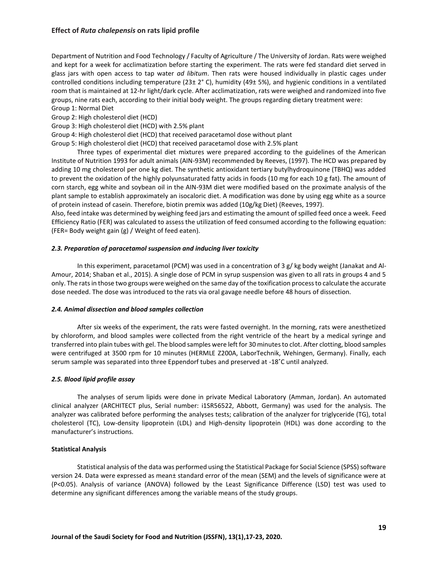Department of Nutrition and Food Technology / Faculty of Agriculture / The University of Jordan. Rats were weighed and kept for a week for acclimatization before starting the experiment. The rats were fed standard diet served in glass jars with open access to tap water *ad libitum*. Then rats were housed individually in plastic cages under controlled conditions including temperature (23± 2° C), humidity (49± 5%), and hygienic conditions in a ventilated room that is maintained at 12-hr light/dark cycle. After acclimatization, rats were weighed and randomized into five groups, nine rats each, according to their initial body weight. The groups regarding dietary treatment were:

Group 1: Normal Diet Group 2: High cholesterol diet (HCD)

Group 3: High cholesterol diet (HCD) with 2.5% plant

Group 4: High cholesterol diet (HCD) that received paracetamol dose without plant

Group 5: High cholesterol diet (HCD) that received paracetamol dose with 2.5% plant

Three types of experimental diet mixtures were prepared according to the guidelines of the American Institute of Nutrition 1993 for adult animals (AIN-93M) recommended by Reeves, (1997). The HCD was prepared by adding 10 mg cholesterol per one kg diet. The synthetic antioxidant tertiary butylhydroquinone (TBHQ) was added to prevent the oxidation of the highly polyunsaturated fatty acids in foods (10 mg for each 10 g fat). The amount of corn starch, egg white and soybean oil in the AIN-93M diet were modified based on the proximate analysis of the plant sample to establish approximately an isocaloric diet. A modification was done by using egg white as a source of protein instead of casein. Therefore, biotin premix was added (10g/kg Diet) (Reeves, 1997).

Also, feed intake was determined by weighing feed jars and estimating the amount of spilled feed once a week. Feed Efficiency Ratio (FER) was calculated to assess the utilization of feed consumed according to the following equation: (FER= Body weight gain (g) / Weight of feed eaten).

## *2.3. Preparation of paracetamol suspension and inducing liver toxicity*

In this experiment, paracetamol (PCM) was used in a concentration of 3 g/ kg body weight (Janakat and Al-Amour, 2014; Shaban et al., 2015). A single dose of PCM in syrup suspension was given to all rats in groups 4 and 5 only. The rats in those two groups were weighed on the same day of the toxification process to calculate the accurate dose needed. The dose was introduced to the rats via oral gavage needle before 48 hours of dissection.

#### *2.4. Animal dissection and blood samples collection*

After six weeks of the experiment, the rats were fasted overnight. In the morning, rats were anesthetized by chloroform, and blood samples were collected from the right ventricle of the heart by a medical syringe and transferred into plain tubes with gel. The blood samples were left for 30 minutes to clot. After clotting, blood samples were centrifuged at 3500 rpm for 10 minutes (HERMLE Z200A, LaborTechnik, Wehingen, Germany). Finally, each serum sample was separated into three Eppendorf tubes and preserved at -18˚C until analyzed.

#### *2.5. Blood lipid profile assay*

The analyses of serum lipids were done in private Medical Laboratory (Amman, Jordan). An automated clinical analyzer (ARCHITECT plus, Serial number: i1SR56522, Abbott, Germany) was used for the analysis. The analyzer was calibrated before performing the analyses tests; calibration of the analyzer for triglyceride (TG), total cholesterol (TC), Low-density lipoprotein (LDL) and High-density lipoprotein (HDL) was done according to the manufacturer's instructions.

#### **Statistical Analysis**

Statistical analysis of the data was performed using the Statistical Package for Social Science (SPSS) software version 24. Data were expressed as mean± standard error of the mean (SEM) and the levels of significance were at (P<0.05). Analysis of variance (ANOVA) followed by the Least Significance Difference (LSD) test was used to determine any significant differences among the variable means of the study groups.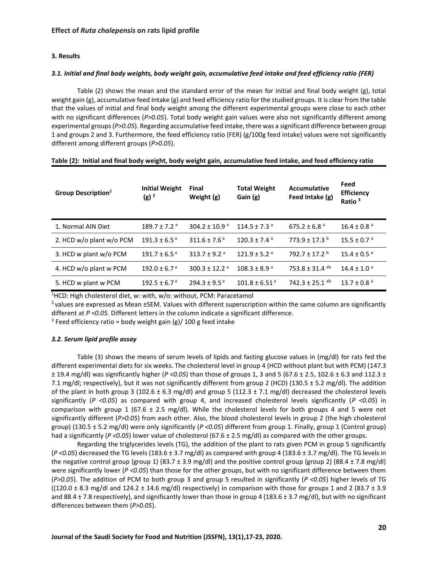#### **3. Results**

#### *3.1. Initial and final body weights, body weight gain, accumulative feed intake and feed efficiency ratio (FER)*

Table (2) shows the mean and the standard error of the mean for initial and final body weight (g), total weight gain  $(g)$ , accumulative feed Intake  $(g)$  and feed efficiency ratio for the studied groups. It is clear from the table that the values of initial and final body weight among the different experimental groups were close to each other with no significant differences (*P>0.05*). Total body weight gain values were also not significantly different among experimental groups (*P>0.05*). Regarding accumulative feed intake, there was a significant difference between group 1 and groups 2 and 3. Furthermore, the feed efficiency ratio (FER) (g/100g feed intake) values were not significantly different among different groups (*P>0.05*).

| <b>Group Description</b> <sup>1</sup> | <b>Initial Weight</b><br>$(g)^2$ | Final<br>Weight (g)           | <b>Total Weight</b><br>Gain (g) | Accumulative<br>Feed Intake (g) | Feed<br><b>Efficiency</b><br>Ratio <sup>3</sup> |
|---------------------------------------|----------------------------------|-------------------------------|---------------------------------|---------------------------------|-------------------------------------------------|
| 1. Normal AIN Diet                    | $189.7 \pm 7.2$ <sup>a</sup>     | $304.2 \pm 10.9$ <sup>a</sup> | $114.5 \pm 7.3$ <sup>a</sup>    | 675.2 ± 6.8 $a$                 | $16.4 \pm 0.8$ <sup>a</sup>                     |
| 2. HCD w/o plant w/o PCM              | $191.3 \pm 6.5^{\circ}$          | $311.6 \pm 7.6^{\circ}$       | $120.3 \pm 7.4$ <sup>a</sup>    | $773.9 \pm 17.3$ <sup>b</sup>   | $15.5 \pm 0.7$ <sup>a</sup>                     |
| 3. HCD w plant w/o PCM                | $191.7 \pm 6.5^{\text{a}}$       | 313.7 ± 9.2 $a$               | $121.9 \pm 5.2$ <sup>a</sup>    | 792.7 ± 17.2 $b$                | $15.4 \pm 0.5$ <sup>a</sup>                     |
| 4. HCD w/o plant w PCM                | $192.0 \pm 6.7$ <sup>a</sup>     | $300.3 \pm 12.2$ <sup>a</sup> | $108.3 \pm 8.9$ <sup>a</sup>    | 753.8 ± 31.4 ab                 | $14.4 \pm 1.0$ <sup>a</sup>                     |
| 5. HCD w plant w PCM                  | $192.5 \pm 6.7^{\circ}$          | $294.3 \pm 9.5^{\circ}$       | $101.8 \pm 6.51$ <sup>a</sup>   | 742.3 ± 25.1 ab                 | $13.7 \pm 0.8$ <sup>a</sup>                     |

**Table (2): Initial and final body weight, body weight gain, accumulative feed intake, and feed efficiency ratio**

<sup>1</sup>HCD: High cholesterol diet, w: with, w/o: without, PCM: Paracetamol

<sup>2</sup> values are expressed as Mean ±SEM. Values with different superscription within the same column are significantly different at *P <0.05.* Different letters in the column indicate a significant difference.

<sup>3</sup> Feed efficiency ratio = body weight gain (g)/ 100 g feed intake

#### *3.2. Serum lipid profile assay*

Table (3) shows the means of serum levels of lipids and fasting glucose values in (mg/dl) for rats fed the different experimental diets for six weeks. The cholesterol level in group 4 (HCD without plant but with PCM) (147.3 ± 19.4 mg/dl) was significantly higher (*P <0.05*) than those of groups 1, 3 and 5 (67.6 ± 2.5, 102.6 ± 6.3 and 112.3 ± 7.1 mg/dl; respectively), but it was not significantly different from group 2 (HCD) (130.5 ± 5.2 mg/dl). The addition of the plant in both group 3 (102.6  $\pm$  6.3 mg/dl) and group 5 (112.3  $\pm$  7.1 mg/dl) decreased the cholesterol levels significantly (*P <0.05*) as compared with group 4, and increased cholesterol levels significantly (*P <0.05*) in comparison with group 1 (67.6  $\pm$  2.5 mg/dl). While the cholesterol levels for both groups 4 and 5 were not significantly different (*P>0.05*) from each other. Also, the blood cholesterol levels in group 2 (the high cholesterol group) (130.5 ± 5.2 mg/dl) were only significantly (*P <0.05*) different from group 1. Finally, group 1 (Control group) had a significantly (*P <0.05*) lower value of cholesterol (67.6 ± 2.5 mg/dl) as compared with the other groups.

Regarding the triglycerides levels (TG), the addition of the plant to rats given PCM in group 5 significantly (*P <0.05*) decreased the TG levels (183.6 ± 3.7 mg/dl) as compared with group 4 (183.6 ± 3.7 mg/dl). The TG levels in the negative control group (group 1) (83.7  $\pm$  3.9 mg/dl) and the positive control group (group 2) (88.4  $\pm$  7.8 mg/dl) were significantly lower ( $P < 0.05$ ) than those for the other groups, but with no significant difference between them (*P>0.05*). The addition of PCM to both group 3 and group 5 resulted in significantly (*P <0.05*) higher levels of TG  $((120.0 \pm 8.3 \text{ mg/d})$  and  $124.2 \pm 14.6 \text{ mg/d})$  respectively) in comparison with those for groups 1 and 2 (83.7  $\pm$  3.9 and 88.4 ± 7.8 respectively), and significantly lower than those in group 4 (183.6 ± 3.7 mg/dl), but with no significant differences between them (*P>0.05*).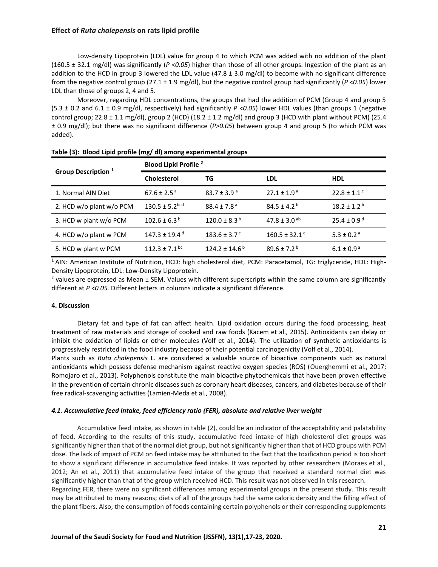Low-density Lipoprotein (LDL) value for group 4 to which PCM was added with no addition of the plant (160.5 ± 32.1 mg/dl) was significantly (*P <0.05*) higher than those of all other groups. Ingestion of the plant as an addition to the HCD in group 3 lowered the LDL value (47.8  $\pm$  3.0 mg/dl) to become with no significant difference from the negative control group (27.1 ± 1.9 mg/dl), but the negative control group had significantly (*P <0.05*) lower LDL than those of groups 2, 4 and 5.

Moreover, regarding HDL concentrations, the groups that had the addition of PCM (Group 4 and group 5 (5.3 ± 0.2 and 6.1 ± 0.9 mg/dl, respectively) had significantly *P <0.05*) lower HDL values (than groups 1 (negative control group; 22.8  $\pm$  1.1 mg/dl), group 2 (HCD) (18.2  $\pm$  1.2 mg/dl) and group 3 (HCD with plant without PCM) (25.4 ± 0.9 mg/dl); but there was no significant difference (*P>0.05*) between group 4 and group 5 (to which PCM was added).

|                                | <b>Blood Lipid Profile 2</b>   |                             |                               |                             |  |  |
|--------------------------------|--------------------------------|-----------------------------|-------------------------------|-----------------------------|--|--|
| Group Description <sup>1</sup> | <b>Cholesterol</b>             | TG                          | LDL                           | <b>HDL</b>                  |  |  |
| 1. Normal AIN Diet             | $67.6 \pm 2.5$ <sup>a</sup>    | $83.7 \pm 3.9$ <sup>a</sup> | $27.1 \pm 1.9^{\circ}$        | $22.8 \pm 1.1$ <sup>c</sup> |  |  |
| 2. HCD w/o plant w/o PCM       | $130.5 \pm 5.2$ <sup>bcd</sup> | $88.4 \pm 7.8^{\circ}$      | $84.5 \pm 4.2^{\circ}$        | $18.2 \pm 1.2^{\mathrm{b}}$ |  |  |
| 3. HCD w plant w/o PCM         | $102.6 \pm 6.3^{\circ}$        | $120.0 \pm 8.3^{\circ}$     | $47.8 \pm 3.0$ <sup>ab</sup>  | $25.4 \pm 0.9$ <sup>d</sup> |  |  |
| 4. HCD w/o plant w PCM         | $147.3 \pm 19.4$ <sup>d</sup>  | $183.6 \pm 3.7^{\circ}$     | $160.5 \pm 32.1$ <sup>c</sup> | $5.3 \pm 0.2$ <sup>a</sup>  |  |  |
| 5. HCD w plant w PCM           | $112.3 \pm 7.1$ bc             | $124.2 \pm 14.6^{\circ}$    | $89.6 \pm 7.2^{\text{b}}$     | $6.1 \pm 0.9^{\circ}$       |  |  |

<sup>1</sup> AIN: American Institute of Nutrition, HCD: high cholesterol diet, PCM: Paracetamol, TG: triglyceride, HDL: High-Density Lipoprotein, LDL: Low-Density Lipoprotein.

<sup>2</sup> values are expressed as Mean  $\pm$  SEM. Values with different superscripts within the same column are significantly different at *P <0.05.* Different letters in columns indicate a significant difference.

#### **4. Discussion**

Dietary fat and type of fat can affect health. Lipid oxidation occurs during the food processing, heat treatment of raw materials and storage of cooked and raw foods (Kacem et al., 2015). Antioxidants can delay or inhibit the oxidation of lipids or other molecules (Volf et al., 2014). The utilization of synthetic antioxidants is progressively restricted in the food industry because of their potential carcinogenicity (Volf et al., 2014).

Plants such as *Ruta chalepensis* L. are considered a valuable source of bioactive components such as natural antioxidants which possess defense mechanism against reactive oxygen species (ROS) (Ouerghemmi et al., 2017; Romojaro et al., 2013). Polyphenols constitute the main bioactive phytochemicals that have been proven effective in the prevention of certain chronic diseases such as coronary heart diseases, cancers, and diabetes because of their free radical-scavenging activities (Lamien-Meda et al., 2008).

#### *4.1. Accumulative feed Intake, feed efficiency ratio (FER), absolute and relative liver weight*

Accumulative feed intake, as shown in table (2), could be an indicator of the acceptability and palatability of feed. According to the results of this study, accumulative feed intake of high cholesterol diet groups was significantly higher than that of the normal diet group, but not significantly higher than that of HCD groups with PCM dose. The lack of impact of PCM on feed intake may be attributed to the fact that the toxification period is too short to show a significant difference in accumulative feed intake. It was reported by other researchers (Moraes et al., 2012; An et al., 2011) that accumulative feed intake of the group that received a standard normal diet was significantly higher than that of the group which received HCD. This result was not observed in this research. Regarding FER, there were no significant differences among experimental groups in the present study. This result may be attributed to many reasons; diets of all of the groups had the same caloric density and the filling effect of the plant fibers. Also, the consumption of foods containing certain polyphenols or their corresponding supplements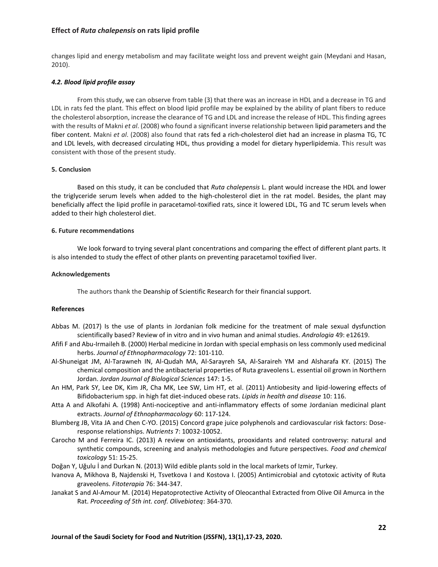changes lipid and energy metabolism and may facilitate weight loss and prevent weight gain (Meydani and Hasan, 2010).

#### *4.2. Blood lipid profile assay*

From this study, we can observe from table (3) that there was an increase in HDL and a decrease in TG and LDL in rats fed the plant. This effect on blood lipid profile may be explained by the ability of plant fibers to reduce the cholesterol absorption, increase the clearance of TG and LDL and increase the release of HDL. This finding agrees with the results of Makni *et al*. (2008) who found a significant inverse relationship between lipid parameters and the fiber content. Makni *et al*. (2008) also found that rats fed a rich-cholesterol diet had an increase in plasma TG, TC and LDL levels, with decreased circulating HDL, thus providing a model for dietary hyperlipidemia. This result was consistent with those of the present study.

#### **5. Conclusion**

Based on this study, it can be concluded that *Ruta chalepensis* L. plant would increase the HDL and lower the triglyceride serum levels when added to the high-cholesterol diet in the rat model. Besides, the plant may beneficially affect the lipid profile in paracetamol-toxified rats, since it lowered LDL, TG and TC serum levels when added to their high cholesterol diet.

#### **6. Future recommendations**

We look forward to trying several plant concentrations and comparing the effect of different plant parts. It is also intended to study the effect of other plants on preventing paracetamol toxified liver.

#### **Acknowledgements**

The authors thank the Deanship of Scientific Research for their financial support.

#### **References**

- Abbas M. (2017) Is the use of plants in Jordanian folk medicine for the treatment of male sexual dysfunction scientifically based? Review of in vitro and in vivo human and animal studies. *Andrologia* 49: e12619.
- Afifi F and Abu-Irmaileh B. (2000) Herbal medicine in Jordan with special emphasis on less commonly used medicinal herbs. *Journal of Ethnopharmacology* 72: 101-110.
- Al-Shuneigat JM, Al-Tarawneh IN, Al-Qudah MA, Al-Sarayreh SA, Al-Saraireh YM and Alsharafa KY. (2015) The chemical composition and the antibacterial properties of Ruta graveolens L. essential oil grown in Northern Jordan. *Jordan Journal of Biological Sciences* 147: 1-5.
- An HM, Park SY, Lee DK, Kim JR, Cha MK, Lee SW, Lim HT, et al. (2011) Antiobesity and lipid-lowering effects of Bifidobacterium spp. in high fat diet-induced obese rats. *Lipids in health and disease* 10: 116.
- Atta A and Alkofahi A. (1998) Anti-nociceptive and anti-inflammatory effects of some Jordanian medicinal plant extracts. *Journal of Ethnopharmacology* 60: 117-124.
- Blumberg JB, Vita JA and Chen C-YO. (2015) Concord grape juice polyphenols and cardiovascular risk factors: Doseresponse relationships. *Nutrients* 7: 10032-10052.
- Carocho M and Ferreira IC. (2013) A review on antioxidants, prooxidants and related controversy: natural and synthetic compounds, screening and analysis methodologies and future perspectives. *Food and chemical toxicology* 51: 15-25.
- Doğan Y, Uğulu İ and Durkan N. (2013) Wild edible plants sold in the local markets of Izmir, Turkey.
- Ivanova A, Mikhova B, Najdenski H, Tsvetkova I and Kostova I. (2005) Antimicrobial and cytotoxic activity of Ruta graveolens. *Fitoterapia* 76: 344-347.
- Janakat S and Al-Amour M. (2014) Hepatoprotective Activity of Oleocanthal Extracted from Olive Oil Amurca in the Rat. *Proceeding of 5th int. conf. Olivebioteq*: 364-370.